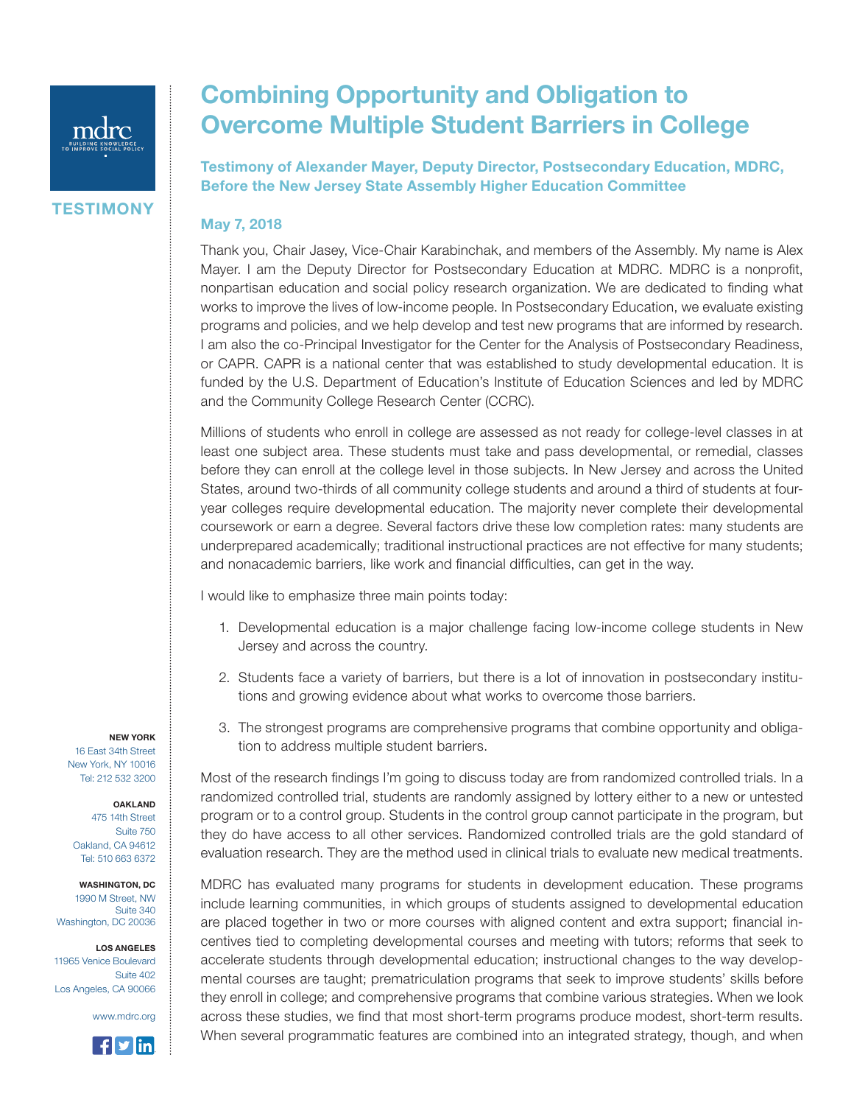

**TESTIMONY** 

## Combining Opportunity and Obligation to Overcome Multiple Student Barriers in College

Testimony of Alexander Mayer, Deputy Director, Postsecondary Education, MDRC, Before the New Jersey State Assembly Higher Education Committee

## May 7, 2018

Thank you, Chair Jasey, Vice-Chair Karabinchak, and members of the Assembly. My name is Alex Mayer. I am the Deputy Director for Postsecondary Education at MDRC. MDRC is a nonprofit, nonpartisan education and social policy research organization. We are dedicated to finding what works to improve the lives of low-income people. In Postsecondary Education, we evaluate existing programs and policies, and we help develop and test new programs that are informed by research. I am also the co-Principal Investigator for the Center for the Analysis of Postsecondary Readiness, or CAPR. CAPR is a national center that was established to study developmental education. It is funded by the U.S. Department of Education's Institute of Education Sciences and led by MDRC and the Community College Research Center (CCRC).

Millions of students who enroll in college are assessed as not ready for college-level classes in at least one subject area. These students must take and pass developmental, or remedial, classes before they can enroll at the college level in those subjects. In New Jersey and across the United States, around two-thirds of all community college students and around a third of students at fouryear colleges require developmental education. The majority never complete their developmental coursework or earn a degree. Several factors drive these low completion rates: many students are underprepared academically; traditional instructional practices are not effective for many students; and nonacademic barriers, like work and financial difficulties, can get in the way.

I would like to emphasize three main points today:

- 1. Developmental education is a major challenge facing low-income college students in New Jersey and across the country.
- 2. Students face a variety of barriers, but there is a lot of innovation in postsecondary institutions and growing evidence about what works to overcome those barriers.
- 3. The strongest programs are comprehensive programs that combine opportunity and obligation to address multiple student barriers.

Most of the research findings I'm going to discuss today are from randomized controlled trials. In a randomized controlled trial, students are randomly assigned by lottery either to a new or untested program or to a control group. Students in the control group cannot participate in the program, but they do have access to all other services. Randomized controlled trials are the gold standard of evaluation research. They are the method used in clinical trials to evaluate new medical treatments.

MDRC has evaluated many programs for students in development education. These programs include learning communities, in which groups of students assigned to developmental education are placed together in two or more courses with aligned content and extra support; financial incentives tied to completing developmental courses and meeting with tutors; reforms that seek to accelerate students through developmental education; instructional changes to the way developmental courses are taught; prematriculation programs that seek to improve students' skills before they enroll in college; and comprehensive programs that combine various strategies. When we look across these studies, we find that most short-term programs produce modest, short-term results. When several programmatic features are combined into an integrated strategy, though, and when

NEW YORK

16 East 34th Street New York, NY 10016 Tel: 212 532 3200

## OAKLAND

475 14th Street Suite 750 Oakland, CA 94612 Tel: 510 663 6372

WASHINGTON, DC 1990 M Street, NW Suite 340 Washington, DC 20036

LOS ANGELES 11965 Venice Boulevard Suite 402 Los Angeles, CA 90066

www.mdrc.org

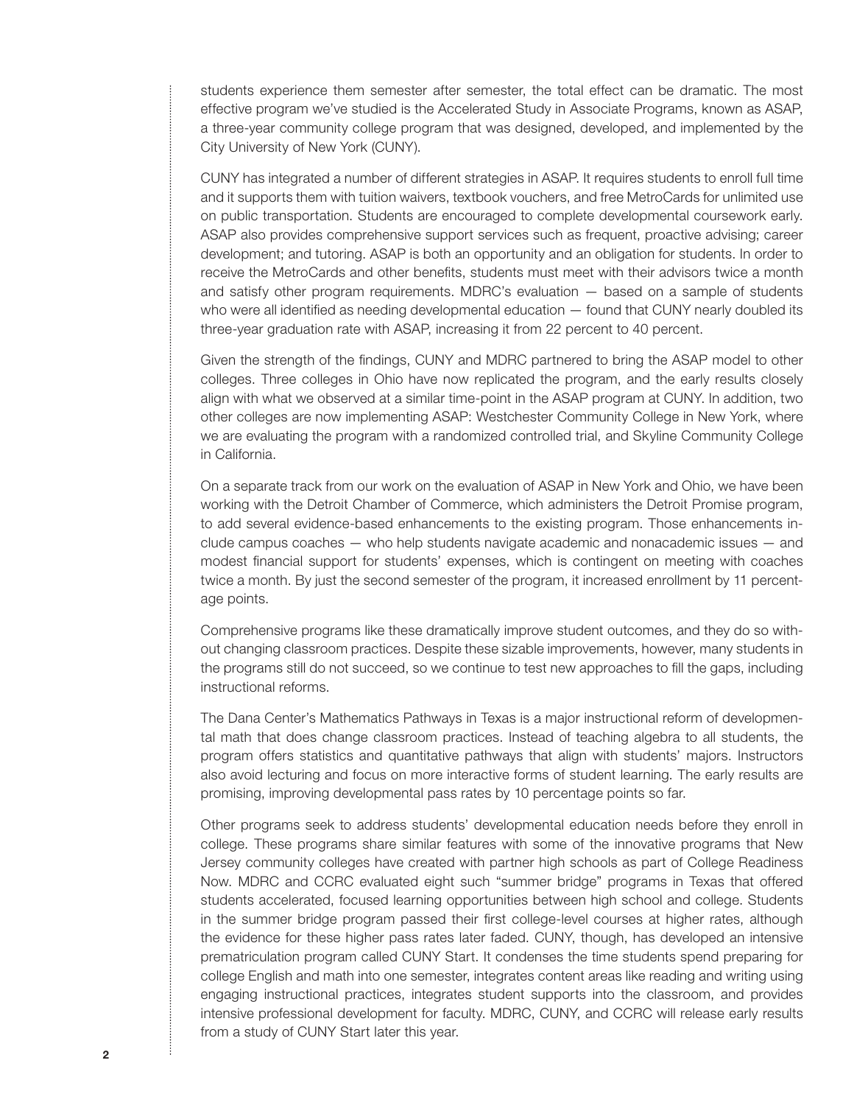students experience them semester after semester, the total effect can be dramatic. The most effective program we've studied is the Accelerated Study in Associate Programs, known as ASAP, a three-year community college program that was designed, developed, and implemented by the City University of New York (CUNY).

CUNY has integrated a number of different strategies in ASAP. It requires students to enroll full time and it supports them with tuition waivers, textbook vouchers, and free MetroCards for unlimited use on public transportation. Students are encouraged to complete developmental coursework early. ASAP also provides comprehensive support services such as frequent, proactive advising; career development; and tutoring. ASAP is both an opportunity and an obligation for students. In order to receive the MetroCards and other benefits, students must meet with their advisors twice a month and satisfy other program requirements. MDRC's evaluation — based on a sample of students who were all identified as needing developmental education — found that CUNY nearly doubled its three-year graduation rate with ASAP, increasing it from 22 percent to 40 percent.

Given the strength of the findings, CUNY and MDRC partnered to bring the ASAP model to other colleges. Three colleges in Ohio have now replicated the program, and the early results closely align with what we observed at a similar time-point in the ASAP program at CUNY. In addition, two other colleges are now implementing ASAP: Westchester Community College in New York, where we are evaluating the program with a randomized controlled trial, and Skyline Community College in California.

On a separate track from our work on the evaluation of ASAP in New York and Ohio, we have been working with the Detroit Chamber of Commerce, which administers the Detroit Promise program, to add several evidence-based enhancements to the existing program. Those enhancements include campus coaches — who help students navigate academic and nonacademic issues — and modest financial support for students' expenses, which is contingent on meeting with coaches twice a month. By just the second semester of the program, it increased enrollment by 11 percentage points.

Comprehensive programs like these dramatically improve student outcomes, and they do so without changing classroom practices. Despite these sizable improvements, however, many students in the programs still do not succeed, so we continue to test new approaches to fill the gaps, including instructional reforms.

The Dana Center's Mathematics Pathways in Texas is a major instructional reform of developmental math that does change classroom practices. Instead of teaching algebra to all students, the program offers statistics and quantitative pathways that align with students' majors. Instructors also avoid lecturing and focus on more interactive forms of student learning. The early results are promising, improving developmental pass rates by 10 percentage points so far.

Other programs seek to address students' developmental education needs before they enroll in college. These programs share similar features with some of the innovative programs that New Jersey community colleges have created with partner high schools as part of College Readiness Now. MDRC and CCRC evaluated eight such "summer bridge" programs in Texas that offered students accelerated, focused learning opportunities between high school and college. Students in the summer bridge program passed their first college-level courses at higher rates, although the evidence for these higher pass rates later faded. CUNY, though, has developed an intensive prematriculation program called CUNY Start. It condenses the time students spend preparing for college English and math into one semester, integrates content areas like reading and writing using engaging instructional practices, integrates student supports into the classroom, and provides intensive professional development for faculty. MDRC, CUNY, and CCRC will release early results from a study of CUNY Start later this year.